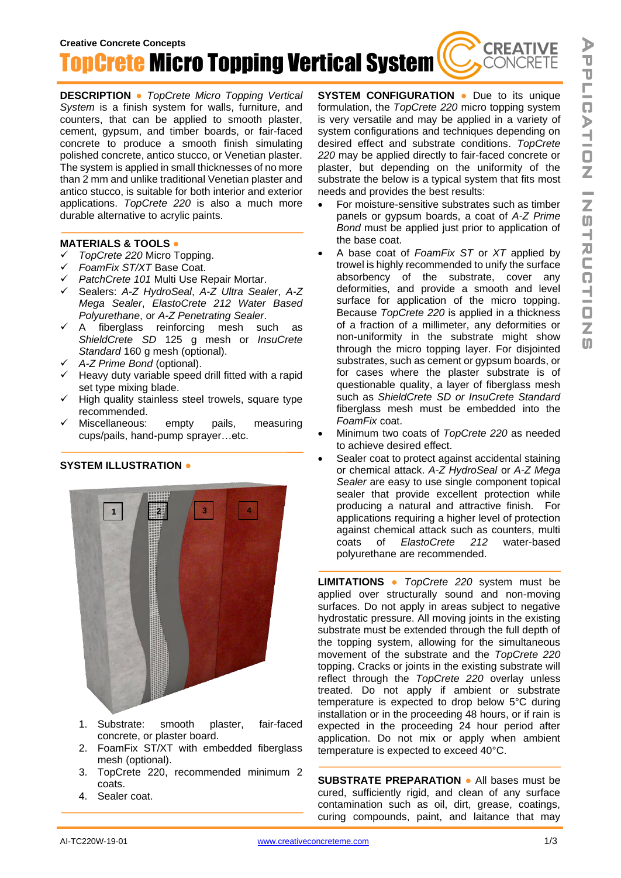**CREATIVE** 

CONCRETE

**Creative Concrete Concepts** TopCrete Micro Topping Vertical System

**DESCRIPTION ●** *TopCrete Micro Topping Vertical System* is a finish system for walls, furniture, and counters, that can be applied to smooth plaster, cement, gypsum, and timber boards, or fair-faced concrete to produce a smooth finish simulating polished concrete, antico stucco, or Venetian plaster. The system is applied in small thicknesses of no more than 2 mm and unlike traditional Venetian plaster and antico stucco, is suitable for both interior and exterior applications. *TopCrete 220* is also a much more durable alternative to acrylic paints.

## **MATERIALS & TOOLS ●**

- ✓ *TopCrete 220* Micro Topping.
- ✓ *FoamFix ST/XT* Base Coat.
- ✓ *PatchCrete 101* Multi Use Repair Mortar.
- ✓ Sealers: *A-Z HydroSeal*, *A-Z Ultra Sealer*, *A-Z Mega Sealer*, *ElastoCrete 212 Water Based Polyurethane*, or *A-Z Penetrating Sealer*.
- ✓ A fiberglass reinforcing mesh such as *ShieldCrete SD* 125 g mesh or *InsuCrete Standard* 160 g mesh (optional).
- ✓ *A-Z Prime Bond* (optional).
- $\checkmark$  Heavy duty variable speed drill fitted with a rapid set type mixing blade.
- ✓ High quality stainless steel trowels, square type recommended.
- ✓ Miscellaneous: empty pails, measuring cups/pails, hand-pump sprayer…etc.

## **SYSTEM ILLUSTRATION ●**



- 1. Substrate: smooth plaster, fair-faced concrete, or plaster board.
- 2. FoamFix ST/XT with embedded fiberglass mesh (optional).
- 3. TopCrete 220, recommended minimum 2 coats.
- 4. Sealer coat.

**SYSTEM CONFIGURATION ●** Due to its unique formulation, the *TopCrete 220* micro topping system is very versatile and may be applied in a variety of system configurations and techniques depending on desired effect and substrate conditions. *TopCrete 220* may be applied directly to fair-faced concrete or plaster, but depending on the uniformity of the substrate the below is a typical system that fits most needs and provides the best results:

- For moisture-sensitive substrates such as timber panels or gypsum boards, a coat of *A-Z Prime Bond* must be applied just prior to application of the base coat.
- A base coat of *FoamFix ST* or *XT* applied by trowel is highly recommended to unify the surface absorbency of the substrate, cover any deformities, and provide a smooth and level surface for application of the micro topping. Because *TopCrete 220* is applied in a thickness of a fraction of a millimeter, any deformities or non-uniformity in the substrate might show through the micro topping layer. For disjointed substrates, such as cement or gypsum boards, or for cases where the plaster substrate is of questionable quality, a layer of fiberglass mesh such as *ShieldCrete SD or InsuCrete Standard* fiberglass mesh must be embedded into the *FoamFix* coat.
- Minimum two coats of *TopCrete 220* as needed to achieve desired effect.
- Sealer coat to protect against accidental staining or chemical attack. *A-Z HydroSeal* or *A-Z Mega Sealer* are easy to use single component topical sealer that provide excellent protection while producing a natural and attractive finish. For applications requiring a higher level of protection against chemical attack such as counters, multi coats of *ElastoCrete 212* water-based polyurethane are recommended.

**LIMITATIONS ●** *TopCrete 220* system must be applied over structurally sound and non-moving surfaces. Do not apply in areas subject to negative hydrostatic pressure. All moving joints in the existing substrate must be extended through the full depth of the topping system, allowing for the simultaneous movement of the substrate and the *TopCrete 220* topping. Cracks or joints in the existing substrate will reflect through the *TopCrete 220* overlay unless treated. Do not apply if ambient or substrate temperature is expected to drop below 5°C during installation or in the proceeding 48 hours, or if rain is expected in the proceeding 24 hour period after application. Do not mix or apply when ambient temperature is expected to exceed 40°C.

**SUBSTRATE PREPARATION ●** All bases must be cured, sufficiently rigid, and clean of any surface contamination such as oil, dirt, grease, coatings, curing compounds, paint, and laitance that may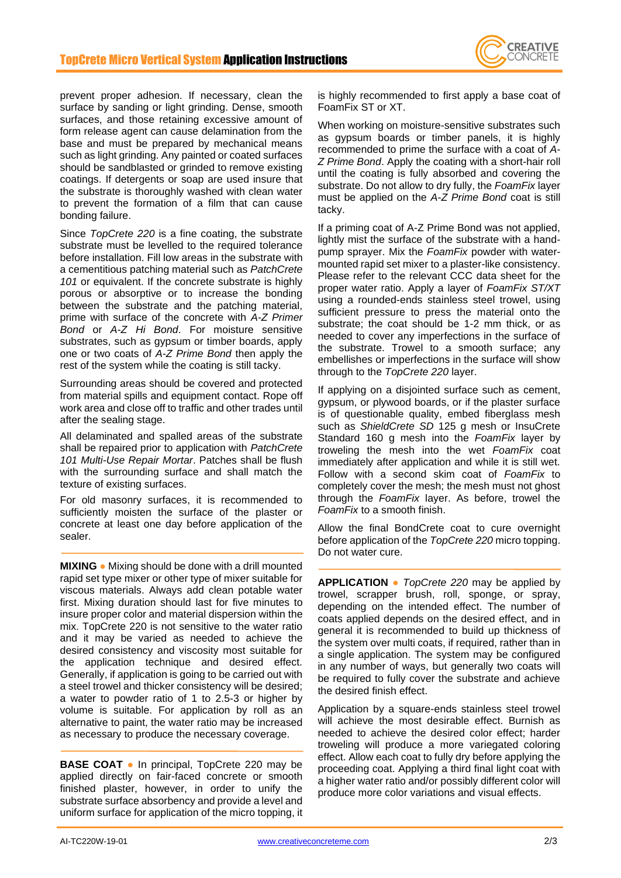

prevent proper adhesion. If necessary, clean the surface by sanding or light grinding. Dense, smooth surfaces, and those retaining excessive amount of form release agent can cause delamination from the base and must be prepared by mechanical means such as light grinding. Any painted or coated surfaces should be sandblasted or grinded to remove existing coatings. If detergents or soap are used insure that the substrate is thoroughly washed with clean water to prevent the formation of a film that can cause bonding failure.

Since *TopCrete 220* is a fine coating, the substrate substrate must be levelled to the required tolerance before installation. Fill low areas in the substrate with a cementitious patching material such as *PatchCrete 101* or equivalent. If the concrete substrate is highly porous or absorptive or to increase the bonding between the substrate and the patching material, prime with surface of the concrete with *A-Z Primer Bond* or *A-Z Hi Bond*. For moisture sensitive substrates, such as gypsum or timber boards, apply one or two coats of *A-Z Prime Bond* then apply the rest of the system while the coating is still tacky.

Surrounding areas should be covered and protected from material spills and equipment contact. Rope off work area and close off to traffic and other trades until after the sealing stage.

All delaminated and spalled areas of the substrate shall be repaired prior to application with *PatchCrete 101 Multi-Use Repair Mortar*. Patches shall be flush with the surrounding surface and shall match the texture of existing surfaces.

For old masonry surfaces, it is recommended to sufficiently moisten the surface of the plaster or concrete at least one day before application of the sealer.

**MIXING ●** Mixing should be done with a drill mounted rapid set type mixer or other type of mixer suitable for viscous materials. Always add clean potable water first. Mixing duration should last for five minutes to insure proper color and material dispersion within the mix. TopCrete 220 is not sensitive to the water ratio and it may be varied as needed to achieve the desired consistency and viscosity most suitable for the application technique and desired effect. Generally, if application is going to be carried out with a steel trowel and thicker consistency will be desired; a water to powder ratio of 1 to 2.5-3 or higher by volume is suitable. For application by roll as an alternative to paint, the water ratio may be increased as necessary to produce the necessary coverage.

**BASE COAT ●** In principal, TopCrete 220 may be applied directly on fair-faced concrete or smooth finished plaster, however, in order to unify the substrate surface absorbency and provide a level and uniform surface for application of the micro topping, it

is highly recommended to first apply a base coat of FoamFix ST or XT.

When working on moisture-sensitive substrates such as gypsum boards or timber panels, it is highly recommended to prime the surface with a coat of *A-Z Prime Bond*. Apply the coating with a short-hair roll until the coating is fully absorbed and covering the substrate. Do not allow to dry fully, the *FoamFix* layer must be applied on the *A-Z Prime Bond* coat is still tacky.

If a priming coat of A-Z Prime Bond was not applied, lightly mist the surface of the substrate with a handpump sprayer. Mix the *FoamFix* powder with watermounted rapid set mixer to a plaster-like consistency. Please refer to the relevant CCC data sheet for the proper water ratio. Apply a layer of *FoamFix ST/XT* using a rounded-ends stainless steel trowel, using sufficient pressure to press the material onto the substrate; the coat should be 1-2 mm thick, or as needed to cover any imperfections in the surface of the substrate. Trowel to a smooth surface; any embellishes or imperfections in the surface will show through to the *TopCrete 220* layer.

If applying on a disjointed surface such as cement, gypsum, or plywood boards, or if the plaster surface is of questionable quality, embed fiberglass mesh such as *ShieldCrete SD* 125 g mesh or InsuCrete Standard 160 g mesh into the *FoamFix* layer by troweling the mesh into the wet *FoamFix* coat immediately after application and while it is still wet. Follow with a second skim coat of *FoamFix* to completely cover the mesh; the mesh must not ghost through the *FoamFix* layer. As before, trowel the *FoamFix* to a smooth finish.

Allow the final BondCrete coat to cure overnight before application of the *TopCrete 220* micro topping. Do not water cure.

**APPLICATION ●** *TopCrete 220* may be applied by trowel, scrapper brush, roll, sponge, or spray, depending on the intended effect. The number of coats applied depends on the desired effect, and in general it is recommended to build up thickness of the system over multi coats, if required, rather than in a single application. The system may be configured in any number of ways, but generally two coats will be required to fully cover the substrate and achieve the desired finish effect.

Application by a square-ends stainless steel trowel will achieve the most desirable effect. Burnish as needed to achieve the desired color effect; harder troweling will produce a more variegated coloring effect. Allow each coat to fully dry before applying the proceeding coat. Applying a third final light coat with a higher water ratio and/or possibly different color will produce more color variations and visual effects.